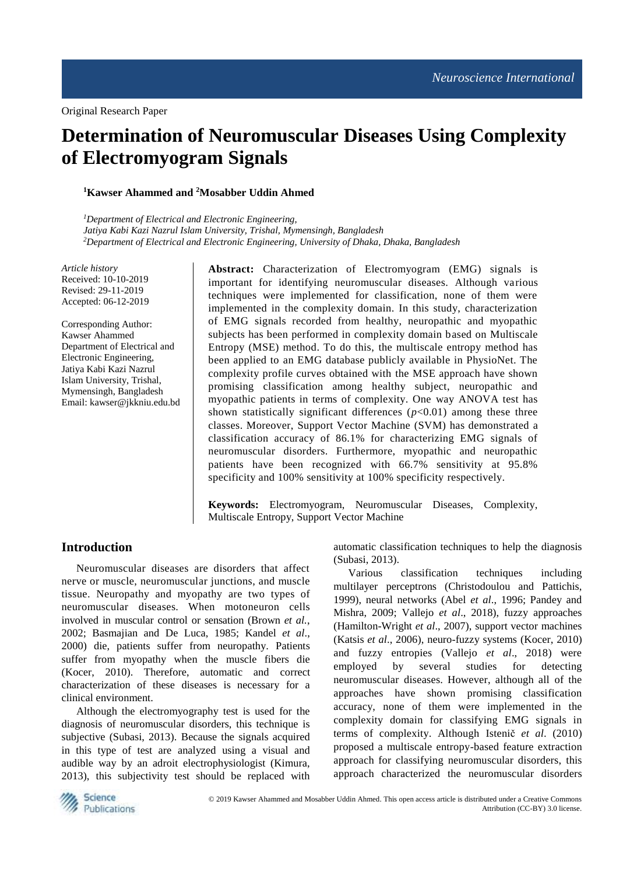# **Determination of Neuromuscular Diseases Using Complexity of Electromyogram Signals**

# **<sup>1</sup>Kawser Ahammed and <sup>2</sup>Mosabber Uddin Ahmed**

*<sup>1</sup>Department of Electrical and Electronic Engineering, Jatiya Kabi Kazi Nazrul Islam University, Trishal, Mymensingh, Bangladesh <sup>2</sup>Department of Electrical and Electronic Engineering, University of Dhaka, Dhaka, Bangladesh*

*Article history* Received: 10-10-2019 Revised: 29-11-2019 Accepted: 06-12-2019

Corresponding Author: Kawser Ahammed Department of Electrical and Electronic Engineering, Jatiya Kabi Kazi Nazrul Islam University, Trishal, Mymensingh, Bangladesh Email: kawser@jkkniu.edu.bd **Abstract:** Characterization of Electromyogram (EMG) signals is important for identifying neuromuscular diseases. Although various techniques were implemented for classification, none of them were implemented in the complexity domain. In this study, characterization of EMG signals recorded from healthy, neuropathic and myopathic subjects has been performed in complexity domain based on Multiscale Entropy (MSE) method. To do this, the multiscale entropy method has been applied to an EMG database publicly available in PhysioNet. The complexity profile curves obtained with the MSE approach have shown promising classification among healthy subject, neuropathic and myopathic patients in terms of complexity. One way ANOVA test has shown statistically significant differences  $(p<0.01)$  among these three classes. Moreover, Support Vector Machine (SVM) has demonstrated a classification accuracy of 86.1% for characterizing EMG signals of neuromuscular disorders. Furthermore, myopathic and neuropathic patients have been recognized with 66.7% sensitivity at 95.8% specificity and 100% sensitivity at 100% specificity respectively.

**Keywords:** Electromyogram, Neuromuscular Diseases, Complexity, Multiscale Entropy, Support Vector Machine

# **Introduction**

Neuromuscular diseases are disorders that affect nerve or muscle, neuromuscular junctions, and muscle tissue. Neuropathy and myopathy are two types of neuromuscular diseases. When motoneuron cells involved in muscular control or sensation (Brown *et al*., 2002; Basmajian and De Luca, 1985; Kandel *et al*., 2000) die, patients suffer from neuropathy. Patients suffer from myopathy when the muscle fibers die (Kocer, 2010). Therefore, automatic and correct characterization of these diseases is necessary for a clinical environment.

Although the electromyography test is used for the diagnosis of neuromuscular disorders, this technique is subjective (Subasi, 2013). Because the signals acquired in this type of test are analyzed using a visual and audible way by an adroit electrophysiologist (Kimura, 2013), this subjectivity test should be replaced with automatic classification techniques to help the diagnosis (Subasi, 2013).

Various classification techniques including multilayer perceptrons (Christodoulou and Pattichis, 1999), neural networks (Abel *et al*., 1996; Pandey and Mishra, 2009; Vallejo *et al*., 2018), fuzzy approaches (Hamilton-Wright *et al*., 2007), support vector machines (Katsis *et al*., 2006), neuro-fuzzy systems (Kocer, 2010) and fuzzy entropies (Vallejo *et al*., 2018) were employed by several studies for detecting neuromuscular diseases. However, although all of the approaches have shown promising classification accuracy, none of them were implemented in the complexity domain for classifying EMG signals in terms of complexity. Although Istenič *et al*. (2010) proposed a multiscale entropy-based feature extraction approach for classifying neuromuscular disorders, this approach characterized the neuromuscular disorders

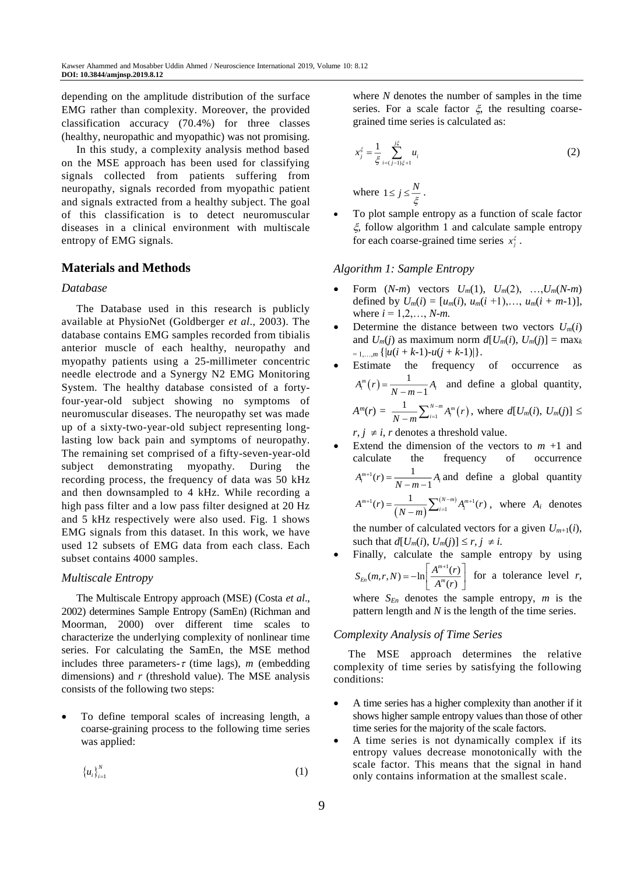depending on the amplitude distribution of the surface EMG rather than complexity. Moreover, the provided classification accuracy (70.4%) for three classes (healthy, neuropathic and myopathic) was not promising.

In this study, a complexity analysis method based on the MSE approach has been used for classifying signals collected from patients suffering from neuropathy, signals recorded from myopathic patient and signals extracted from a healthy subject. The goal of this classification is to detect neuromuscular diseases in a clinical environment with multiscale entropy of EMG signals.

# **Materials and Methods**

#### *Database*

The Database used in this research is publicly available at PhysioNet (Goldberger *et al*., 2003). The database contains EMG samples recorded from tibialis anterior muscle of each healthy, neuropathy and myopathy patients using a 25-millimeter concentric needle electrode and a Synergy N2 EMG Monitoring System. The healthy database consisted of a fortyfour-year-old subject showing no symptoms of neuromuscular diseases. The neuropathy set was made up of a sixty-two-year-old subject representing longlasting low back pain and symptoms of neuropathy. The remaining set comprised of a fifty-seven-year-old subject demonstrating myopathy. During the recording process, the frequency of data was 50 kHz and then downsampled to 4 kHz. While recording a high pass filter and a low pass filter designed at 20 Hz and 5 kHz respectively were also used. Fig. 1 shows EMG signals from this dataset. In this work, we have used 12 subsets of EMG data from each class. Each subset contains 4000 samples.

# *Multiscale Entropy*

The Multiscale Entropy approach (MSE) (Costa *et al*., 2002) determines Sample Entropy (SamEn) (Richman and Moorman, 2000) over different time scales to characterize the underlying complexity of nonlinear time series. For calculating the SamEn, the MSE method includes three parameters- $\tau$  (time lags), *m* (embedding dimensions) and *r* (threshold value). The MSE analysis consists of the following two steps:

 To define temporal scales of increasing length, a coarse-graining process to the following time series was applied:

$$
\left\{u_{i}\right\}_{i=1}^{N}\tag{1}
$$

where *N* denotes the number of samples in the time series. For a scale factor  $\xi$ , the resulting coarsegrained time series is calculated as:

$$
x_j^{\xi} = \frac{1}{\xi} \sum_{i=(j-1)\xi+1}^{j\xi} u_i
$$
 (2)

where  $1 \le j \le \frac{N}{\xi}$ .

 To plot sample entropy as a function of scale factor  $\xi$ , follow algorithm 1 and calculate sample entropy for each coarse-grained time series  $x_j^{\xi}$ .

## *Algorithm 1: Sample Entropy*

- Form  $(N-m)$  vectors  $U_m(1)$ ,  $U_m(2)$ , ...,  $U_m(N-m)$ defined by  $U_m(i) = [u_m(i), u_m(i+1), \ldots, u_m(i+m-1)],$ where  $i = 1, 2, ..., N$ -*m*.
- Determine the distance between two vectors  $U_m(i)$ and  $U_m(i)$  as maximum norm  $d[U_m(i), U_m(j)] = \max_k$  $= 1,...,m \{ |u(i + k-1)-u(j + k-1)| \}.$
- Estimate the frequency of occurrence as  $(r) = \frac{1}{r}$  $A_i^m(r) = \frac{1}{N-m-1}A_i$  and define a global quantity,  $A^{m}(r) = \frac{1}{N-m} \sum_{i=1}^{N-m} A_{i}^{m}(r)$  $\frac{1}{1-m}\sum_{i=1}^{N-m}A_{i}^{m}(r)$ , where  $d[U_{m}(i), U_{m}(j)] \leq$

 $r, j \neq i, r$  denotes a threshold value.

Extend the dimension of the vectors to  $m + 1$  and calculate the frequency of occurrence  $A_i^{m+1}(r) = \frac{1}{N-m-1} A_i$  and define a global quantity  $\mathcal{L}^{1}(r) = \frac{1}{(N-m)} \sum_{i=1}^{(N-m)} A_{i}^{m+1}$  $A^{m+1}(r) = \frac{1}{(N-m)} \sum_{i=1}^{(N-m)} A_i^{m+1}(r)$  $A^{+1}(r) = \frac{1}{(N-m)} \sum_{i=1}^{(N-m)} A_i^{m+1}(r)$ , where  $A_i$  denotes

the number of calculated vectors for a given  $U_{m+1}(i)$ , such that  $d[U_m(i), U_m(j)] \leq r, j \neq i$ .

 Finally, calculate the sample entropy by using  $(m,r,N) = -\ln\left[\frac{A^{m+1}(r)}{A^m(r)}\right]$ *m*  $S_{En}(m,r,N) = -\ln\left[\frac{A^{m+1}(r)}{A^m(r)}\right]$  $f(x) = -\ln\left[\frac{A^{m+1}(r)}{A^m(r)}\right]$  for a tolerance level *r*,

where  $S_{En}$  denotes the sample entropy, *m* is the pattern length and *N* is the length of the time series.

#### *Complexity Analysis of Time Series*

The MSE approach determines the relative complexity of time series by satisfying the following conditions:

- A time series has a higher complexity than another if it shows higher sample entropy values than those of other time series for the majority of the scale factors.
- A time series is not dynamically complex if its entropy values decrease monotonically with the scale factor. This means that the signal in hand only contains information at the smallest scale.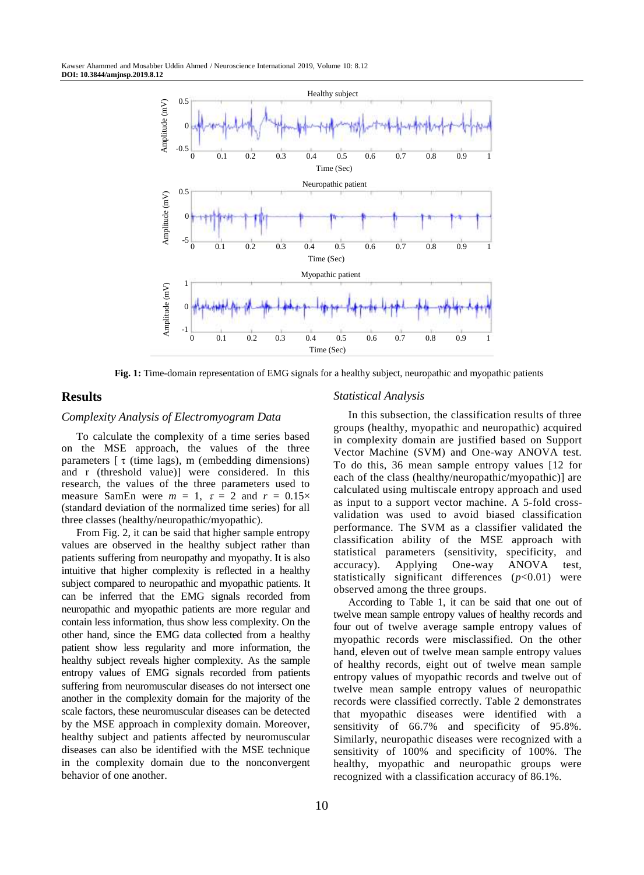

**Fig. 1:** Time-domain representation of EMG signals for a healthy subject, neuropathic and myopathic patients

#### **Results**

## *Complexity Analysis of Electromyogram Data*

To calculate the complexity of a time series based on the MSE approach, the values of the three parameters  $\lceil \tau \rceil$  (time lags), m (embedding dimensions) and r (threshold value)] were considered. In this research, the values of the three parameters used to measure SamEn were  $m = 1$ ,  $\tau = 2$  and  $r = 0.15 \times$ (standard deviation of the normalized time series) for all three classes (healthy/neuropathic/myopathic).

From Fig. 2, it can be said that higher sample entropy values are observed in the healthy subject rather than patients suffering from neuropathy and myopathy. It is also intuitive that higher complexity is reflected in a healthy subject compared to neuropathic and myopathic patients. It can be inferred that the EMG signals recorded from neuropathic and myopathic patients are more regular and contain less information, thus show less complexity. On the other hand, since the EMG data collected from a healthy patient show less regularity and more information, the healthy subject reveals higher complexity. As the sample entropy values of EMG signals recorded from patients suffering from neuromuscular diseases do not intersect one another in the complexity domain for the majority of the scale factors, these neuromuscular diseases can be detected by the MSE approach in complexity domain. Moreover, healthy subject and patients affected by neuromuscular diseases can also be identified with the MSE technique in the complexity domain due to the nonconvergent behavior of one another.

#### *Statistical Analysis*

In this subsection, the classification results of three groups (healthy, myopathic and neuropathic) acquired in complexity domain are justified based on Support Vector Machine (SVM) and One-way ANOVA test. To do this, 36 mean sample entropy values [12 for each of the class (healthy/neuropathic/myopathic)] are calculated using multiscale entropy approach and used as input to a support vector machine. A 5-fold crossvalidation was used to avoid biased classification performance. The SVM as a classifier validated the classification ability of the MSE approach with statistical parameters (sensitivity, specificity, and accuracy). Applying One-way ANOVA test, statistically significant differences (*p*<0.01) were observed among the three groups.

According to Table 1, it can be said that one out of twelve mean sample entropy values of healthy records and four out of twelve average sample entropy values of myopathic records were misclassified. On the other hand, eleven out of twelve mean sample entropy values of healthy records, eight out of twelve mean sample entropy values of myopathic records and twelve out of twelve mean sample entropy values of neuropathic records were classified correctly. Table 2 demonstrates that myopathic diseases were identified with a sensitivity of 66.7% and specificity of 95.8%. Similarly, neuropathic diseases were recognized with a sensitivity of 100% and specificity of 100%. The healthy, myopathic and neuropathic groups were recognized with a classification accuracy of 86.1%.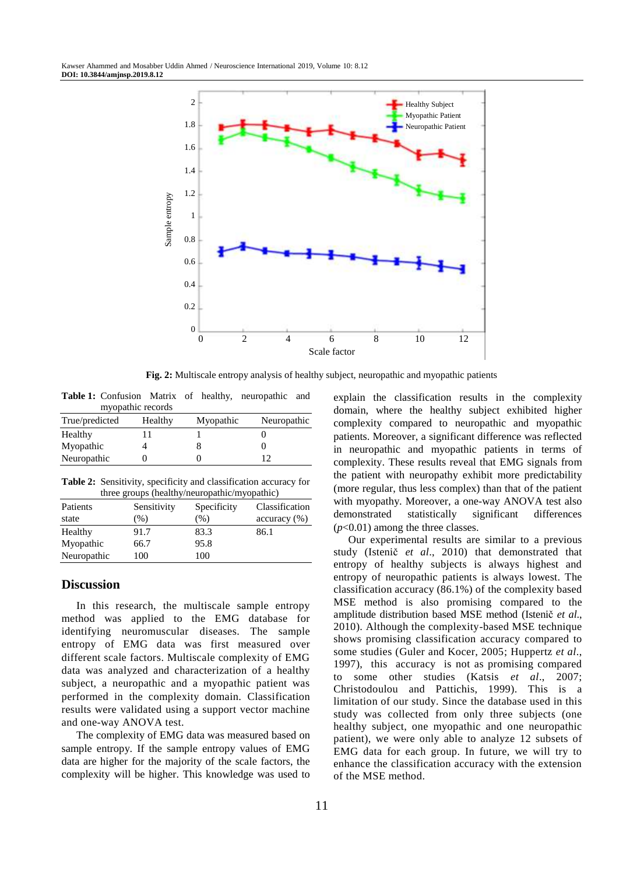

**Fig. 2:** Multiscale entropy analysis of healthy subject, neuropathic and myopathic patients

| <b>Table 1:</b> Confusion Matrix of healthy, neuropathic and |                   |           |             |  |
|--------------------------------------------------------------|-------------------|-----------|-------------|--|
|                                                              | myopathic records |           |             |  |
| True/predicted                                               | Healthy           | Myopathic | Neuropathic |  |

| True predicted | 11 cantrix | wryopaune | ricaropaume |  |
|----------------|------------|-----------|-------------|--|
| Healthy        |            |           |             |  |
| Myopathic      |            |           |             |  |
| Neuropathic    |            |           |             |  |
|                |            |           |             |  |

**Table 2:** Sensitivity, specificity and classification accuracy for three groups (healthy/neuropathic/myopathic)

| Patients    | Sensitivity | Specificity | Classification |
|-------------|-------------|-------------|----------------|
| state       | $(\%)$      | (%)         | accuracy (%)   |
| Healthy     | 91.7        | 83.3        | 86.1           |
| Myopathic   | 66.7        | 95.8        |                |
| Neuropathic | 100         | 100         |                |

#### **Discussion**

In this research, the multiscale sample entropy method was applied to the EMG database for identifying neuromuscular diseases. The sample entropy of EMG data was first measured over different scale factors. Multiscale complexity of EMG data was analyzed and characterization of a healthy subject, a neuropathic and a myopathic patient was performed in the complexity domain. Classification results were validated using a support vector machine and one-way ANOVA test.

The complexity of EMG data was measured based on sample entropy. If the sample entropy values of EMG data are higher for the majority of the scale factors, the complexity will be higher. This knowledge was used to explain the classification results in the complexity domain, where the healthy subject exhibited higher complexity compared to neuropathic and myopathic patients. Moreover, a significant difference was reflected in neuropathic and myopathic patients in terms of complexity. These results reveal that EMG signals from the patient with neuropathy exhibit more predictability (more regular, thus less complex) than that of the patient with myopathy. Moreover, a one-way ANOVA test also demonstrated statistically significant differences  $(p<0.01)$  among the three classes.

Our experimental results are similar to a previous study (Istenič *et al*., 2010) that demonstrated that entropy of healthy subjects is always highest and entropy of neuropathic patients is always lowest. The classification accuracy (86.1%) of the complexity based MSE method is also promising compared to the amplitude distribution based MSE method (Istenič *et al*., 2010). Although the complexity-based MSE technique shows promising classification accuracy compared to some studies (Guler and Kocer, 2005; Huppertz *et al*., 1997), this accuracy is not as promising compared to some other studies (Katsis *et al*., 2007; Christodoulou and Pattichis, 1999). This is a limitation of our study. Since the database used in this study was collected from only three subjects (one healthy subject, one myopathic and one neuropathic patient), we were only able to analyze 12 subsets of EMG data for each group. In future, we will try to enhance the classification accuracy with the extension of the MSE method.